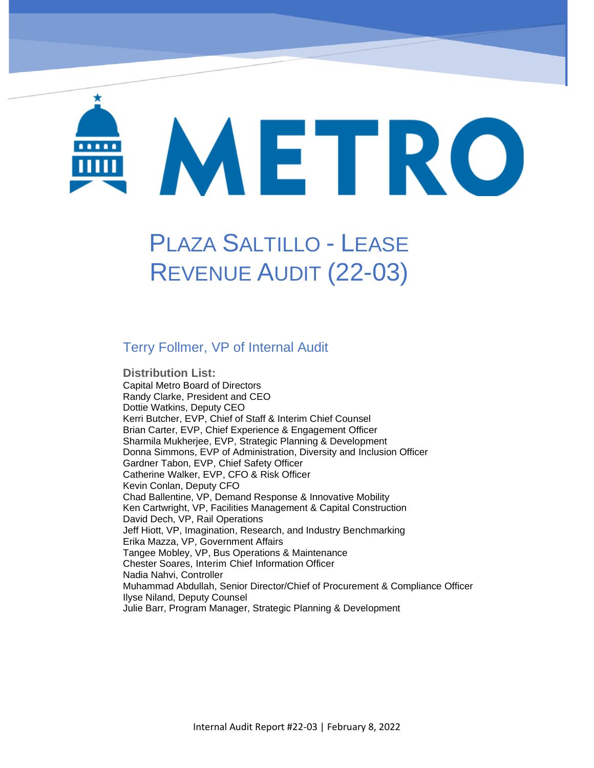# METRO

# PLAZA SALTILLO - LEASE REVENUE AUDIT (22-03)

## Terry Follmer, VP of Internal Audit

**Distribution List:**  Capital Metro Board of Directors Randy Clarke, President and CEO Dottie Watkins, Deputy CEO Kerri Butcher, EVP, Chief of Staff & Interim Chief Counsel Brian Carter, EVP, Chief Experience & Engagement Officer Sharmila Mukherjee, EVP, Strategic Planning & Development Donna Simmons, EVP of Administration, Diversity and Inclusion Officer Gardner Tabon, EVP, Chief Safety Officer Catherine Walker, EVP, CFO & Risk Officer Kevin Conlan, Deputy CFO Chad Ballentine, VP, Demand Response & Innovative Mobility Ken Cartwright, VP, Facilities Management & Capital Construction David Dech, VP, Rail Operations Jeff Hiott, VP, Imagination, Research, and Industry Benchmarking Erika Mazza, VP, Government Affairs Tangee Mobley, VP, Bus Operations & Maintenance Chester Soares, Interim Chief Information Officer Nadia Nahvi, Controller Muhammad Abdullah, Senior Director/Chief of Procurement & Compliance Officer Ilyse Niland, Deputy Counsel Julie Barr, Program Manager, Strategic Planning & Development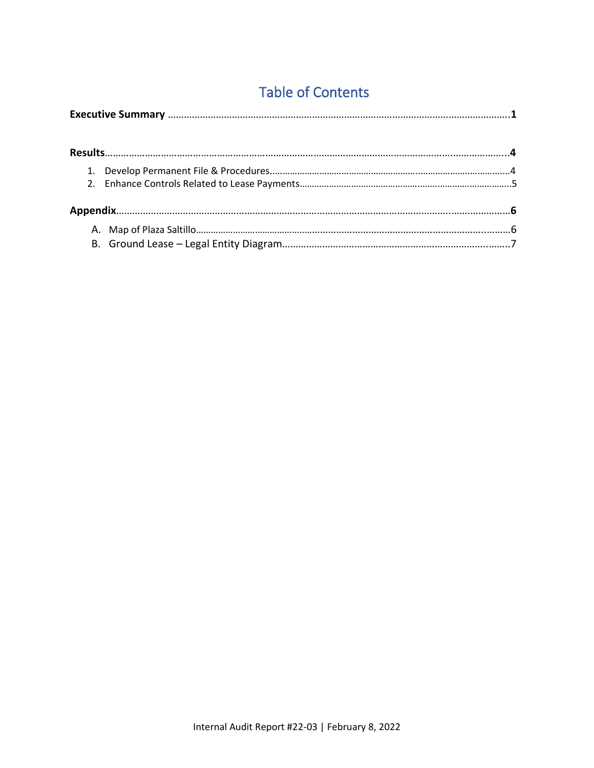# Table of Contents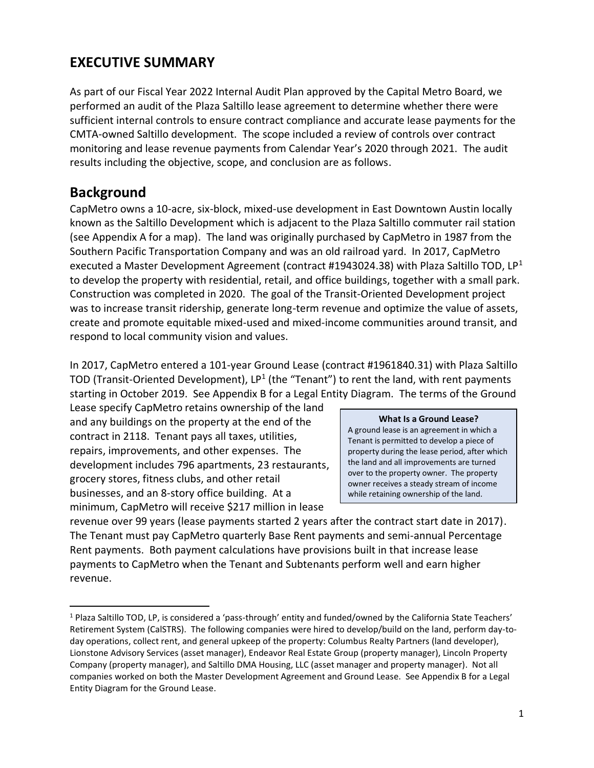# **EXECUTIVE SUMMARY**

As part of our Fiscal Year 2022 Internal Audit Plan approved by the Capital Metro Board, we performed an audit of the Plaza Saltillo lease agreement to determine whether there were sufficient internal controls to ensure contract compliance and accurate lease payments for the CMTA-owned Saltillo development. The scope included a review of controls over contract monitoring and lease revenue payments from Calendar Year's 2020 through 2021. The audit results including the objective, scope, and conclusion are as follows.

# **Background**

CapMetro owns a 10-acre, six-block, mixed-use development in East Downtown Austin locally known as the Saltillo Development which is adjacent to the Plaza Saltillo commuter rail station (see Appendix A for a map). The land was originally purchased by CapMetro in 1987 from the Southern Pacific Transportation Company and was an old railroad yard. In 2017, CapMetro executed a Master Development Agreement (contract #1943024.38) with Plaza Saltillo TOD, LP<sup>1</sup> to develop the property with residential, retail, and office buildings, together with a small park. Construction was completed in 2020. The goal of the Transit-Oriented Development project was to increase transit ridership, generate long-term revenue and optimize the value of assets, create and promote equitable mixed-used and mixed-income communities around transit, and respond to local community vision and values.

In 2017, CapMetro entered a 101-year Ground Lease (contract #1961840.31) with Plaza Saltillo TOD (Transit-Oriented Development), LP<sup>1</sup> (the "Tenant") to rent the land, with rent payments starting in October 2019. See Appendix B for a Legal Entity Diagram. The terms of the Ground

Lease specify CapMetro retains ownership of the land and any buildings on the property at the end of the contract in 2118. Tenant pays all taxes, utilities, repairs, improvements, and other expenses. The development includes 796 apartments, 23 restaurants, grocery stores, fitness clubs, and other retail businesses, and an 8-story office building. At a minimum, CapMetro will receive \$217 million in lease

### **What Is a Ground Lease?**

A ground lease is an agreement in which a Tenant is permitted to develop a piece of property during the lease period, after which the land and all improvements are turned over to the property owner. The property owner receives a steady stream of income while retaining ownership of the land.

revenue over 99 years (lease payments started 2 years after the contract start date in 2017). The Tenant must pay CapMetro quarterly Base Rent payments and semi-annual Percentage Rent payments. Both payment calculations have provisions built in that increase lease payments to CapMetro when the Tenant and Subtenants perform well and earn higher revenue.

<sup>1</sup> Plaza Saltillo TOD, LP, is considered a 'pass-through' entity and funded/owned by the California State Teachers' Retirement System (CalSTRS). The following companies were hired to develop/build on the land, perform day-today operations, collect rent, and general upkeep of the property: Columbus Realty Partners (land developer), Lionstone Advisory Services (asset manager), Endeavor Real Estate Group (property manager), Lincoln Property Company (property manager), and Saltillo DMA Housing, LLC (asset manager and property manager). Not all companies worked on both the Master Development Agreement and Ground Lease. See Appendix B for a Legal Entity Diagram for the Ground Lease.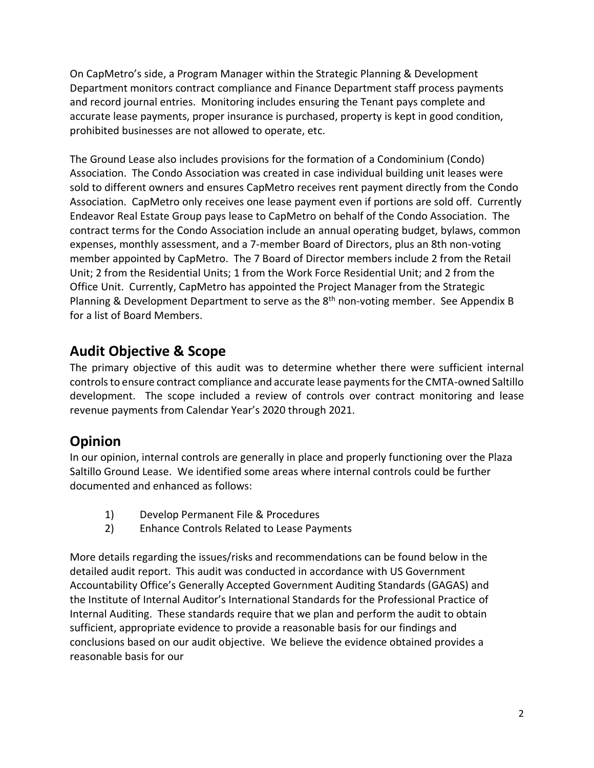On CapMetro's side, a Program Manager within the Strategic Planning & Development Department monitors contract compliance and Finance Department staff process payments and record journal entries. Monitoring includes ensuring the Tenant pays complete and accurate lease payments, proper insurance is purchased, property is kept in good condition, prohibited businesses are not allowed to operate, etc.

The Ground Lease also includes provisions for the formation of a Condominium (Condo) Association. The Condo Association was created in case individual building unit leases were sold to different owners and ensures CapMetro receives rent payment directly from the Condo Association. CapMetro only receives one lease payment even if portions are sold off. Currently Endeavor Real Estate Group pays lease to CapMetro on behalf of the Condo Association. The contract terms for the Condo Association include an annual operating budget, bylaws, common expenses, monthly assessment, and a 7-member Board of Directors, plus an 8th non-voting member appointed by CapMetro. The 7 Board of Director members include 2 from the Retail Unit; 2 from the Residential Units; 1 from the Work Force Residential Unit; and 2 from the Office Unit. Currently, CapMetro has appointed the Project Manager from the Strategic Planning & Development Department to serve as the  $8<sup>th</sup>$  non-voting member. See Appendix B for a list of Board Members.

# **Audit Objective & Scope**

The primary objective of this audit was to determine whether there were sufficient internal controls to ensure contract compliance and accurate lease payments for the CMTA-owned Saltillo development. The scope included a review of controls over contract monitoring and lease revenue payments from Calendar Year's 2020 through 2021.

# **Opinion**

In our opinion, internal controls are generally in place and properly functioning over the Plaza Saltillo Ground Lease. We identified some areas where internal controls could be further documented and enhanced as follows:

- 1) Develop Permanent File & Procedures
- 2) Enhance Controls Related to Lease Payments

More details regarding the issues/risks and recommendations can be found below in the detailed audit report. This audit was conducted in accordance with US Government Accountability Office's Generally Accepted Government Auditing Standards (GAGAS) and the Institute of Internal Auditor's International Standards for the Professional Practice of Internal Auditing. These standards require that we plan and perform the audit to obtain sufficient, appropriate evidence to provide a reasonable basis for our findings and conclusions based on our audit objective. We believe the evidence obtained provides a reasonable basis for our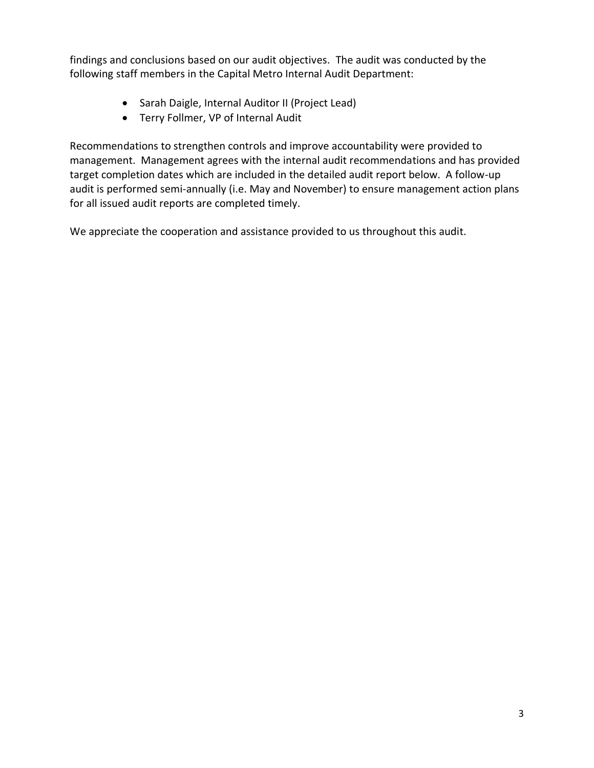findings and conclusions based on our audit objectives. The audit was conducted by the following staff members in the Capital Metro Internal Audit Department:

- Sarah Daigle, Internal Auditor II (Project Lead)
- Terry Follmer, VP of Internal Audit

Recommendations to strengthen controls and improve accountability were provided to management. Management agrees with the internal audit recommendations and has provided target completion dates which are included in the detailed audit report below. A follow-up audit is performed semi-annually (i.e. May and November) to ensure management action plans for all issued audit reports are completed timely.

We appreciate the cooperation and assistance provided to us throughout this audit.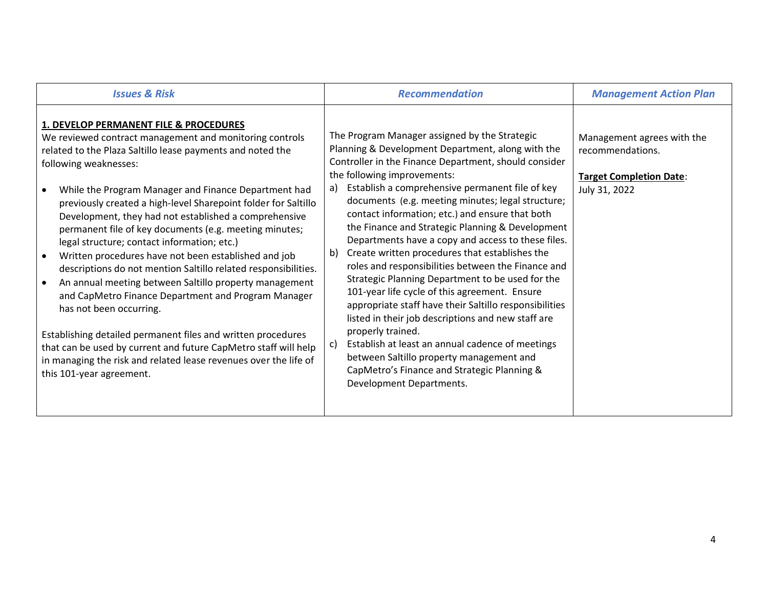| <b>Issues &amp; Risk</b>                                                                                                                                                                                                                                                                                                                                                                                                                                                                                                                                                                                                                                                                                                                                                                                                                                                                                                                                                                      | <b>Recommendation</b>                                                                                                                                                                                                                                                                                                                                                                                                                                                                                                                                                                                                                                                                                                                                                                                                                                                                                                                                                                                          | <b>Management Action Plan</b>                                                                     |
|-----------------------------------------------------------------------------------------------------------------------------------------------------------------------------------------------------------------------------------------------------------------------------------------------------------------------------------------------------------------------------------------------------------------------------------------------------------------------------------------------------------------------------------------------------------------------------------------------------------------------------------------------------------------------------------------------------------------------------------------------------------------------------------------------------------------------------------------------------------------------------------------------------------------------------------------------------------------------------------------------|----------------------------------------------------------------------------------------------------------------------------------------------------------------------------------------------------------------------------------------------------------------------------------------------------------------------------------------------------------------------------------------------------------------------------------------------------------------------------------------------------------------------------------------------------------------------------------------------------------------------------------------------------------------------------------------------------------------------------------------------------------------------------------------------------------------------------------------------------------------------------------------------------------------------------------------------------------------------------------------------------------------|---------------------------------------------------------------------------------------------------|
| 1. DEVELOP PERMANENT FILE & PROCEDURES<br>We reviewed contract management and monitoring controls<br>related to the Plaza Saltillo lease payments and noted the<br>following weaknesses:<br>While the Program Manager and Finance Department had<br>previously created a high-level Sharepoint folder for Saltillo<br>Development, they had not established a comprehensive<br>permanent file of key documents (e.g. meeting minutes;<br>legal structure; contact information; etc.)<br>Written procedures have not been established and job<br>descriptions do not mention Saltillo related responsibilities.<br>An annual meeting between Saltillo property management<br>and CapMetro Finance Department and Program Manager<br>has not been occurring.<br>Establishing detailed permanent files and written procedures<br>that can be used by current and future CapMetro staff will help<br>in managing the risk and related lease revenues over the life of<br>this 101-year agreement. | The Program Manager assigned by the Strategic<br>Planning & Development Department, along with the<br>Controller in the Finance Department, should consider<br>the following improvements:<br>Establish a comprehensive permanent file of key<br>a)<br>documents (e.g. meeting minutes; legal structure;<br>contact information; etc.) and ensure that both<br>the Finance and Strategic Planning & Development<br>Departments have a copy and access to these files.<br>Create written procedures that establishes the<br>b)<br>roles and responsibilities between the Finance and<br>Strategic Planning Department to be used for the<br>101-year life cycle of this agreement. Ensure<br>appropriate staff have their Saltillo responsibilities<br>listed in their job descriptions and new staff are<br>properly trained.<br>Establish at least an annual cadence of meetings<br>c)<br>between Saltillo property management and<br>CapMetro's Finance and Strategic Planning &<br>Development Departments. | Management agrees with the<br>recommendations.<br><b>Target Completion Date:</b><br>July 31, 2022 |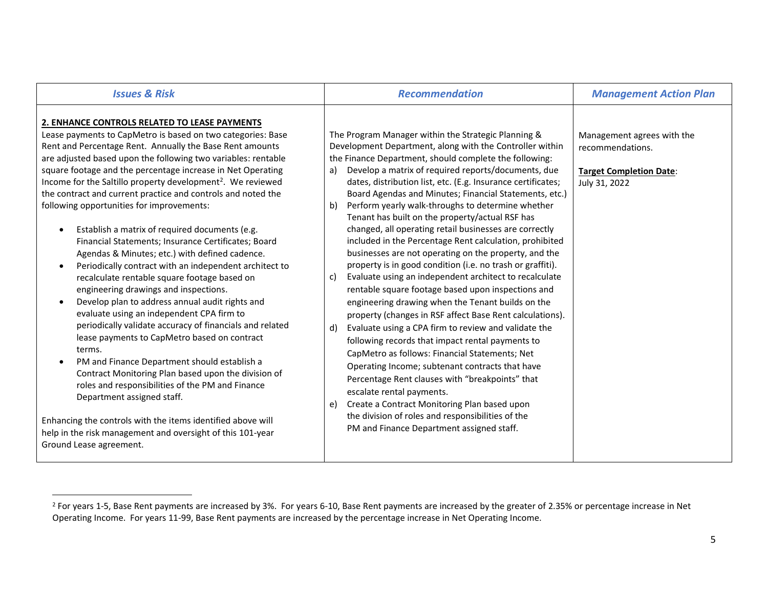| <b>Issues &amp; Risk</b>                                                                                                                                                                                                                                                                                                                                                                                                                                                                                                                                                                                                                                                                                                                                                                                                                                                                                                                                                                                                                                                                                                                                                                                                                                                                                                                                                              | <b>Recommendation</b>                                                                                                                                                                                                                                                                                                                                                                                                                                                                                                                                                                                                                                                                                                                                                                                                                                                                                                                                                                                                                                                                                                                                                                                                                                                                                                                                                                                                            | <b>Management Action Plan</b>                                                                     |
|---------------------------------------------------------------------------------------------------------------------------------------------------------------------------------------------------------------------------------------------------------------------------------------------------------------------------------------------------------------------------------------------------------------------------------------------------------------------------------------------------------------------------------------------------------------------------------------------------------------------------------------------------------------------------------------------------------------------------------------------------------------------------------------------------------------------------------------------------------------------------------------------------------------------------------------------------------------------------------------------------------------------------------------------------------------------------------------------------------------------------------------------------------------------------------------------------------------------------------------------------------------------------------------------------------------------------------------------------------------------------------------|----------------------------------------------------------------------------------------------------------------------------------------------------------------------------------------------------------------------------------------------------------------------------------------------------------------------------------------------------------------------------------------------------------------------------------------------------------------------------------------------------------------------------------------------------------------------------------------------------------------------------------------------------------------------------------------------------------------------------------------------------------------------------------------------------------------------------------------------------------------------------------------------------------------------------------------------------------------------------------------------------------------------------------------------------------------------------------------------------------------------------------------------------------------------------------------------------------------------------------------------------------------------------------------------------------------------------------------------------------------------------------------------------------------------------------|---------------------------------------------------------------------------------------------------|
| 2. ENHANCE CONTROLS RELATED TO LEASE PAYMENTS<br>Lease payments to CapMetro is based on two categories: Base<br>Rent and Percentage Rent. Annually the Base Rent amounts<br>are adjusted based upon the following two variables: rentable<br>square footage and the percentage increase in Net Operating<br>Income for the Saltillo property development <sup>2</sup> . We reviewed<br>the contract and current practice and controls and noted the<br>following opportunities for improvements:<br>Establish a matrix of required documents (e.g.<br>Financial Statements; Insurance Certificates; Board<br>Agendas & Minutes; etc.) with defined cadence.<br>Periodically contract with an independent architect to<br>recalculate rentable square footage based on<br>engineering drawings and inspections.<br>Develop plan to address annual audit rights and<br>evaluate using an independent CPA firm to<br>periodically validate accuracy of financials and related<br>lease payments to CapMetro based on contract<br>terms.<br>PM and Finance Department should establish a<br>Contract Monitoring Plan based upon the division of<br>roles and responsibilities of the PM and Finance<br>Department assigned staff.<br>Enhancing the controls with the items identified above will<br>help in the risk management and oversight of this 101-year<br>Ground Lease agreement. | The Program Manager within the Strategic Planning &<br>Development Department, along with the Controller within<br>the Finance Department, should complete the following:<br>Develop a matrix of required reports/documents, due<br>a)<br>dates, distribution list, etc. (E.g. Insurance certificates;<br>Board Agendas and Minutes; Financial Statements, etc.)<br>Perform yearly walk-throughs to determine whether<br>b)<br>Tenant has built on the property/actual RSF has<br>changed, all operating retail businesses are correctly<br>included in the Percentage Rent calculation, prohibited<br>businesses are not operating on the property, and the<br>property is in good condition (i.e. no trash or graffiti).<br>Evaluate using an independent architect to recalculate<br>C)<br>rentable square footage based upon inspections and<br>engineering drawing when the Tenant builds on the<br>property (changes in RSF affect Base Rent calculations).<br>Evaluate using a CPA firm to review and validate the<br>d)<br>following records that impact rental payments to<br>CapMetro as follows: Financial Statements; Net<br>Operating Income; subtenant contracts that have<br>Percentage Rent clauses with "breakpoints" that<br>escalate rental payments.<br>Create a Contract Monitoring Plan based upon<br>e)<br>the division of roles and responsibilities of the<br>PM and Finance Department assigned staff. | Management agrees with the<br>recommendations.<br><b>Target Completion Date:</b><br>July 31, 2022 |

<sup>&</sup>lt;sup>2</sup> For years 1-5, Base Rent payments are increased by 3%. For years 6-10, Base Rent payments are increased by the greater of 2.35% or percentage increase in Net Operating Income. For years 11-99, Base Rent payments are increased by the percentage increase in Net Operating Income.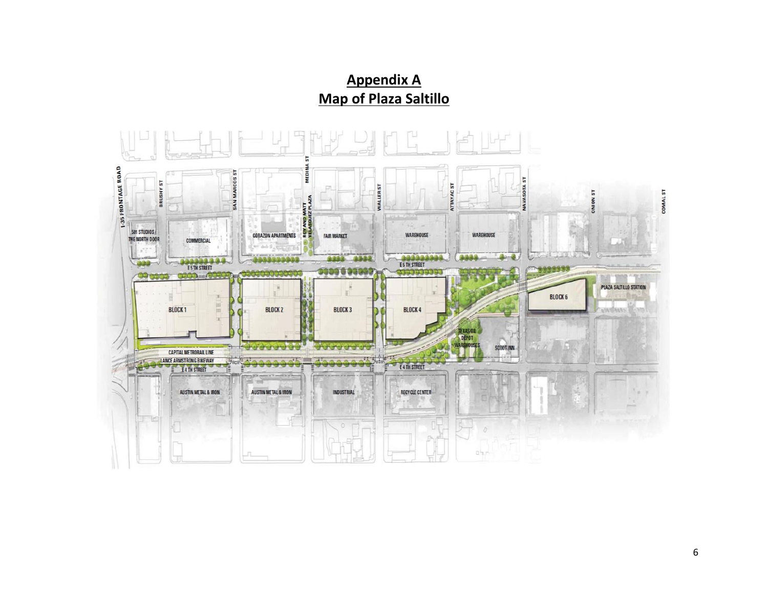# **Appendix A Map of Plaza Saltillo**